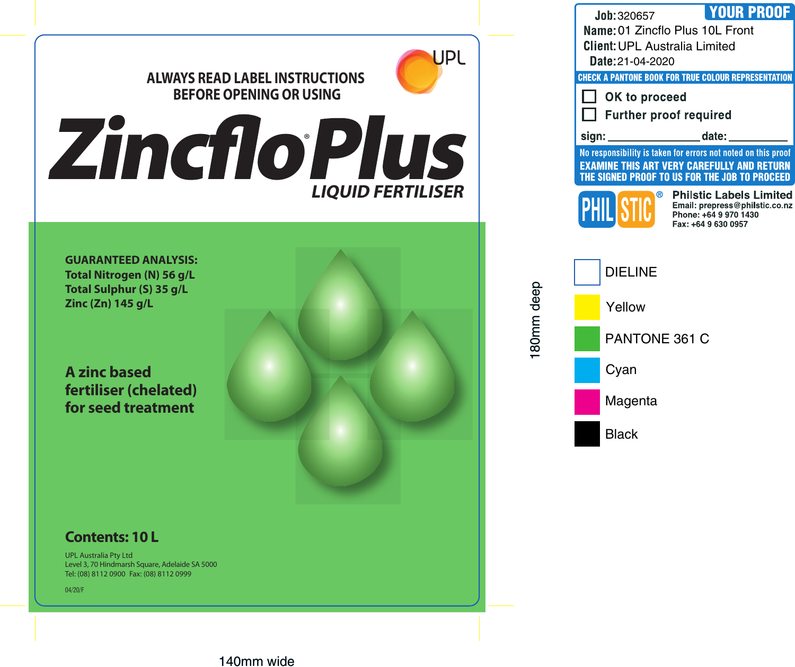

## **ALWAYS READ LABEL INSTRUCTIONS BEFORE OPENING OR USING**



**GUARANTEED ANALYSIS: Total Nitrogen (N) 56 g/L Total Sulphur (S) 35 g/L Zinc (Zn) 145 g/L**

**A zinc based fertiliser (chelated) for seed treatment**

## **Contents: 10 L**

UPL Australia Pty Ltd Level 3, 70 Hindmarsh Square, Adelaide SA 5000 Tel: (08) 8112 0900 Fax: (08) 8112 0999

04/20/F